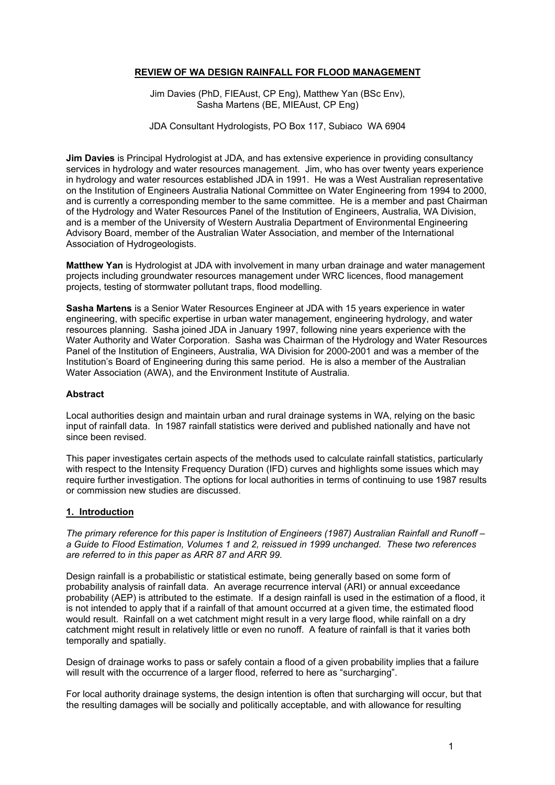## **REVIEW OF WA DESIGN RAINFALL FOR FLOOD MANAGEMENT**

Jim Davies (PhD, FIEAust, CP Eng), Matthew Yan (BSc Env), Sasha Martens (BE, MIEAust, CP Eng)

JDA Consultant Hydrologists, PO Box 117, Subiaco WA 6904

**Jim Davies** is Principal Hydrologist at JDA, and has extensive experience in providing consultancy services in hydrology and water resources management. Jim, who has over twenty years experience in hydrology and water resources established JDA in 1991. He was a West Australian representative on the Institution of Engineers Australia National Committee on Water Engineering from 1994 to 2000, and is currently a corresponding member to the same committee. He is a member and past Chairman of the Hydrology and Water Resources Panel of the Institution of Engineers, Australia, WA Division, and is a member of the University of Western Australia Department of Environmental Engineering Advisory Board, member of the Australian Water Association, and member of the International Association of Hydrogeologists.

**Matthew Yan** is Hydrologist at JDA with involvement in many urban drainage and water management projects including groundwater resources management under WRC licences, flood management projects, testing of stormwater pollutant traps, flood modelling.

**Sasha Martens** is a Senior Water Resources Engineer at JDA with 15 years experience in water engineering, with specific expertise in urban water management, engineering hydrology, and water resources planning. Sasha joined JDA in January 1997, following nine years experience with the Water Authority and Water Corporation. Sasha was Chairman of the Hydrology and Water Resources Panel of the Institution of Engineers, Australia, WA Division for 2000-2001 and was a member of the Institution's Board of Engineering during this same period. He is also a member of the Australian Water Association (AWA), and the Environment Institute of Australia.

#### **Abstract**

Local authorities design and maintain urban and rural drainage systems in WA, relying on the basic input of rainfall data. In 1987 rainfall statistics were derived and published nationally and have not since been revised.

This paper investigates certain aspects of the methods used to calculate rainfall statistics, particularly with respect to the Intensity Frequency Duration (IFD) curves and highlights some issues which may require further investigation. The options for local authorities in terms of continuing to use 1987 results or commission new studies are discussed.

## **1. Introduction**

*The primary reference for this paper is Institution of Engineers (1987) Australian Rainfall and Runoff – a Guide to Flood Estimation, Volumes 1 and 2, reissued in 1999 unchanged. These two references are referred to in this paper as ARR 87 and ARR 99.*

Design rainfall is a probabilistic or statistical estimate, being generally based on some form of probability analysis of rainfall data. An average recurrence interval (ARI) or annual exceedance probability (AEP) is attributed to the estimate. If a design rainfall is used in the estimation of a flood, it is not intended to apply that if a rainfall of that amount occurred at a given time, the estimated flood would result. Rainfall on a wet catchment might result in a very large flood, while rainfall on a dry catchment might result in relatively little or even no runoff. A feature of rainfall is that it varies both temporally and spatially.

Design of drainage works to pass or safely contain a flood of a given probability implies that a failure will result with the occurrence of a larger flood, referred to here as "surcharging".

For local authority drainage systems, the design intention is often that surcharging will occur, but that the resulting damages will be socially and politically acceptable, and with allowance for resulting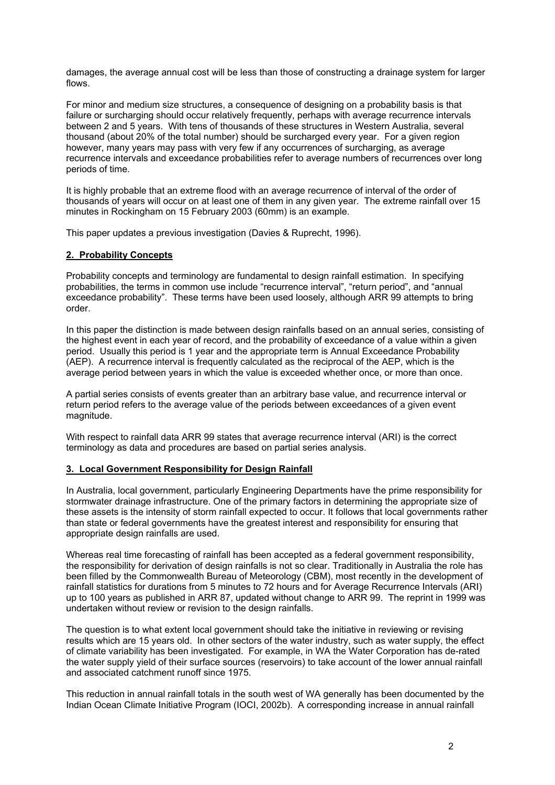damages, the average annual cost will be less than those of constructing a drainage system for larger flows.

For minor and medium size structures, a consequence of designing on a probability basis is that failure or surcharging should occur relatively frequently, perhaps with average recurrence intervals between 2 and 5 years. With tens of thousands of these structures in Western Australia, several thousand (about 20% of the total number) should be surcharged every year. For a given region however, many years may pass with very few if any occurrences of surcharging, as average recurrence intervals and exceedance probabilities refer to average numbers of recurrences over long periods of time.

It is highly probable that an extreme flood with an average recurrence of interval of the order of thousands of years will occur on at least one of them in any given year. The extreme rainfall over 15 minutes in Rockingham on 15 February 2003 (60mm) is an example.

This paper updates a previous investigation (Davies & Ruprecht, 1996).

#### **2. Probability Concepts**

Probability concepts and terminology are fundamental to design rainfall estimation. In specifying probabilities, the terms in common use include "recurrence interval", "return period", and "annual exceedance probability". These terms have been used loosely, although ARR 99 attempts to bring order.

In this paper the distinction is made between design rainfalls based on an annual series, consisting of the highest event in each year of record, and the probability of exceedance of a value within a given period. Usually this period is 1 year and the appropriate term is Annual Exceedance Probability (AEP). A recurrence interval is frequently calculated as the reciprocal of the AEP, which is the average period between years in which the value is exceeded whether once, or more than once.

A partial series consists of events greater than an arbitrary base value, and recurrence interval or return period refers to the average value of the periods between exceedances of a given event magnitude.

With respect to rainfall data ARR 99 states that average recurrence interval (ARI) is the correct terminology as data and procedures are based on partial series analysis.

#### **3. Local Government Responsibility for Design Rainfall**

In Australia, local government, particularly Engineering Departments have the prime responsibility for stormwater drainage infrastructure. One of the primary factors in determining the appropriate size of these assets is the intensity of storm rainfall expected to occur. It follows that local governments rather than state or federal governments have the greatest interest and responsibility for ensuring that appropriate design rainfalls are used.

Whereas real time forecasting of rainfall has been accepted as a federal government responsibility, the responsibility for derivation of design rainfalls is not so clear. Traditionally in Australia the role has been filled by the Commonwealth Bureau of Meteorology (CBM), most recently in the development of rainfall statistics for durations from 5 minutes to 72 hours and for Average Recurrence Intervals (ARI) up to 100 years as published in ARR 87, updated without change to ARR 99. The reprint in 1999 was undertaken without review or revision to the design rainfalls.

The question is to what extent local government should take the initiative in reviewing or revising results which are 15 years old. In other sectors of the water industry, such as water supply, the effect of climate variability has been investigated. For example, in WA the Water Corporation has de-rated the water supply yield of their surface sources (reservoirs) to take account of the lower annual rainfall and associated catchment runoff since 1975.

This reduction in annual rainfall totals in the south west of WA generally has been documented by the Indian Ocean Climate Initiative Program (IOCI, 2002b). A corresponding increase in annual rainfall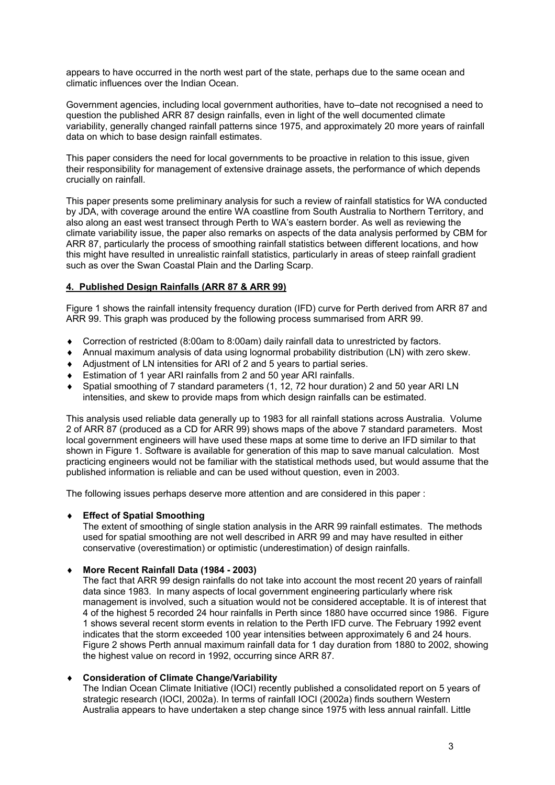appears to have occurred in the north west part of the state, perhaps due to the same ocean and climatic influences over the Indian Ocean.

Government agencies, including local government authorities, have to–date not recognised a need to question the published ARR 87 design rainfalls, even in light of the well documented climate variability, generally changed rainfall patterns since 1975, and approximately 20 more years of rainfall data on which to base design rainfall estimates.

This paper considers the need for local governments to be proactive in relation to this issue, given their responsibility for management of extensive drainage assets, the performance of which depends crucially on rainfall.

This paper presents some preliminary analysis for such a review of rainfall statistics for WA conducted by JDA, with coverage around the entire WA coastline from South Australia to Northern Territory, and also along an east west transect through Perth to WA's eastern border. As well as reviewing the climate variability issue, the paper also remarks on aspects of the data analysis performed by CBM for ARR 87, particularly the process of smoothing rainfall statistics between different locations, and how this might have resulted in unrealistic rainfall statistics, particularly in areas of steep rainfall gradient such as over the Swan Coastal Plain and the Darling Scarp.

## **4. Published Design Rainfalls (ARR 87 & ARR 99)**

Figure 1 shows the rainfall intensity frequency duration (IFD) curve for Perth derived from ARR 87 and ARR 99. This graph was produced by the following process summarised from ARR 99.

- ♦ Correction of restricted (8:00am to 8:00am) daily rainfall data to unrestricted by factors.
- ♦ Annual maximum analysis of data using lognormal probability distribution (LN) with zero skew.
- ♦ Adjustment of LN intensities for ARI of 2 and 5 years to partial series.
- ♦ Estimation of 1 year ARI rainfalls from 2 and 50 year ARI rainfalls.
- ♦ Spatial smoothing of 7 standard parameters (1, 12, 72 hour duration) 2 and 50 year ARI LN intensities, and skew to provide maps from which design rainfalls can be estimated.

This analysis used reliable data generally up to 1983 for all rainfall stations across Australia. Volume 2 of ARR 87 (produced as a CD for ARR 99) shows maps of the above 7 standard parameters. Most local government engineers will have used these maps at some time to derive an IFD similar to that shown in Figure 1. Software is available for generation of this map to save manual calculation. Most practicing engineers would not be familiar with the statistical methods used, but would assume that the published information is reliable and can be used without question, even in 2003.

The following issues perhaps deserve more attention and are considered in this paper :

## ♦ **Effect of Spatial Smoothing**

The extent of smoothing of single station analysis in the ARR 99 rainfall estimates. The methods used for spatial smoothing are not well described in ARR 99 and may have resulted in either conservative (overestimation) or optimistic (underestimation) of design rainfalls.

## ♦ **More Recent Rainfall Data (1984 - 2003)**

The fact that ARR 99 design rainfalls do not take into account the most recent 20 years of rainfall data since 1983. In many aspects of local government engineering particularly where risk management is involved, such a situation would not be considered acceptable. It is of interest that 4 of the highest 5 recorded 24 hour rainfalls in Perth since 1880 have occurred since 1986. Figure 1 shows several recent storm events in relation to the Perth IFD curve. The February 1992 event indicates that the storm exceeded 100 year intensities between approximately 6 and 24 hours. Figure 2 shows Perth annual maximum rainfall data for 1 day duration from 1880 to 2002, showing the highest value on record in 1992, occurring since ARR 87.

## ♦ **Consideration of Climate Change/Variability**

The Indian Ocean Climate Initiative (IOCI) recently published a consolidated report on 5 years of strategic research (IOCI, 2002a). In terms of rainfall IOCI (2002a) finds southern Western Australia appears to have undertaken a step change since 1975 with less annual rainfall. Little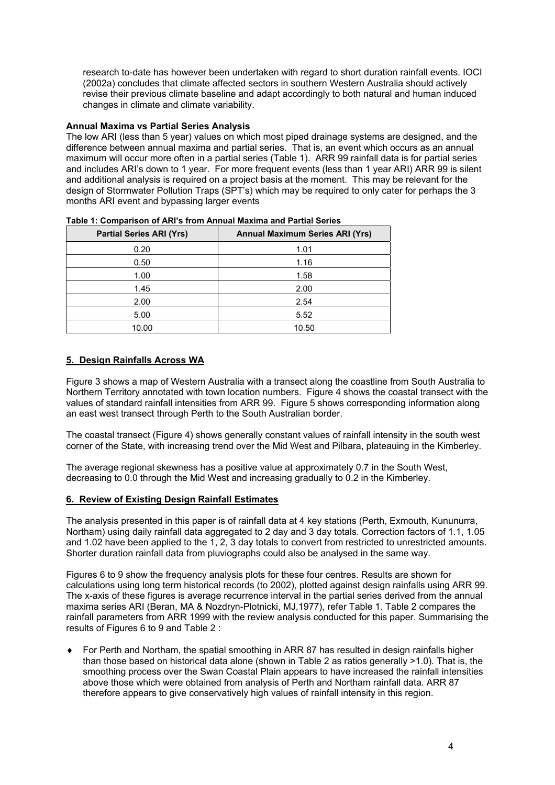research to-date has however been undertaken with regard to short duration rainfall events. IOCI (2002a) concludes that climate affected sectors in southern Western Australia should actively revise their previous climate baseline and adapt accordingly to both natural and human induced changes in climate and climate variability.

## **Annual Maxima vs Partial Series Analysis**

The low ARI (less than 5 year) values on which most piped drainage systems are designed, and the difference between annual maxima and partial series. That is, an event which occurs as an annual maximum will occur more often in a partial series (Table 1). ARR 99 rainfall data is for partial series and includes ARI's down to 1 year. For more frequent events (less than 1 year ARI) ARR 99 is silent and additional analysis is required on a project basis at the moment. This may be relevant for the design of Stormwater Pollution Traps (SPT's) which may be required to only cater for perhaps the 3 months ARI event and bypassing larger events

| <b>Partial Series ARI (Yrs)</b> | <b>Annual Maximum Series ARI (Yrs)</b> |  |  |  |
|---------------------------------|----------------------------------------|--|--|--|
| 0.20                            | 1.01                                   |  |  |  |
| 0.50                            | 1.16                                   |  |  |  |
| 1.00                            | 1.58                                   |  |  |  |
| 1.45                            | 2.00                                   |  |  |  |
| 2.00                            | 2.54                                   |  |  |  |
| 5.00                            | 5.52                                   |  |  |  |
| 10.00                           | 10.50                                  |  |  |  |

**Table 1: Comparison of ARI's from Annual Maxima and Partial Series** 

#### **5. Design Rainfalls Across WA**

Figure 3 shows a map of Western Australia with a transect along the coastline from South Australia to Northern Territory annotated with town location numbers. Figure 4 shows the coastal transect with the values of standard rainfall intensities from ARR 99. Figure 5 shows corresponding information along an east west transect through Perth to the South Australian border.

The coastal transect (Figure 4) shows generally constant values of rainfall intensity in the south west corner of the State, with increasing trend over the Mid West and Pilbara, plateauing in the Kimberley.

The average regional skewness has a positive value at approximately 0.7 in the South West, decreasing to 0.0 through the Mid West and increasing gradually to 0.2 in the Kimberley.

#### **6. Review of Existing Design Rainfall Estimates**

The analysis presented in this paper is of rainfall data at 4 key stations (Perth, Exmouth, Kununurra, Northam) using daily rainfall data aggregated to 2 day and 3 day totals. Correction factors of 1.1, 1.05 and 1.02 have been applied to the 1, 2, 3 day totals to convert from restricted to unrestricted amounts. Shorter duration rainfall data from pluviographs could also be analysed in the same way.

Figures 6 to 9 show the frequency analysis plots for these four centres. Results are shown for calculations using long term historical records (to 2002), plotted against design rainfalls using ARR 99. The x-axis of these figures is average recurrence interval in the partial series derived from the annual maxima series ARI (Beran, MA & Nozdryn-Plotnicki, MJ,1977), refer Table 1. Table 2 compares the rainfall parameters from ARR 1999 with the review analysis conducted for this paper. Summarising the results of Figures 6 to 9 and Table 2 :

For Perth and Northam, the spatial smoothing in ARR 87 has resulted in design rainfalls higher than those based on historical data alone (shown in Table 2 as ratios generally >1.0). That is, the smoothing process over the Swan Coastal Plain appears to have increased the rainfall intensities above those which were obtained from analysis of Perth and Northam rainfall data. ARR 87 therefore appears to give conservatively high values of rainfall intensity in this region.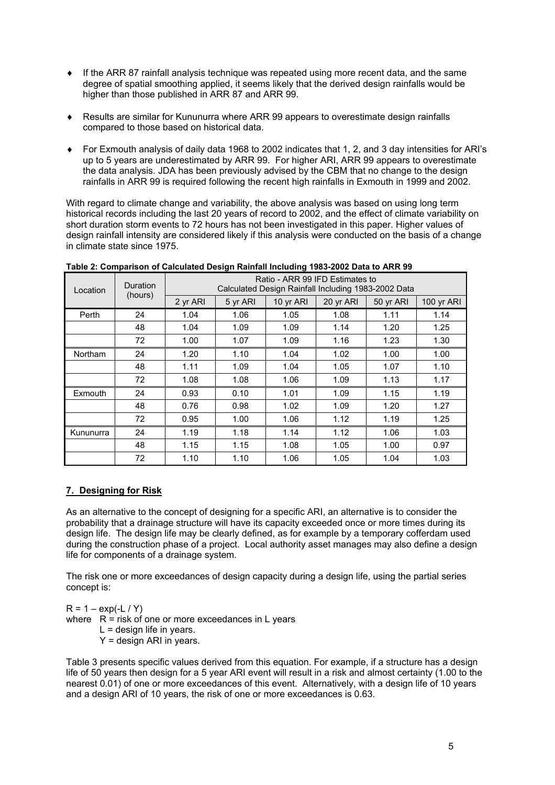- $\bullet$  If the ARR 87 rainfall analysis technique was repeated using more recent data, and the same degree of spatial smoothing applied, it seems likely that the derived design rainfalls would be higher than those published in ARR 87 and ARR 99.
- ♦ Results are similar for Kununurra where ARR 99 appears to overestimate design rainfalls compared to those based on historical data.
- ♦ For Exmouth analysis of daily data 1968 to 2002 indicates that 1, 2, and 3 day intensities for ARI's up to 5 years are underestimated by ARR 99. For higher ARI, ARR 99 appears to overestimate the data analysis. JDA has been previously advised by the CBM that no change to the design rainfalls in ARR 99 is required following the recent high rainfalls in Exmouth in 1999 and 2002.

With regard to climate change and variability, the above analysis was based on using long term historical records including the last 20 years of record to 2002, and the effect of climate variability on short duration storm events to 72 hours has not been investigated in this paper. Higher values of design rainfall intensity are considered likely if this analysis were conducted on the basis of a change in climate state since 1975.

| Location  | Duration<br>(hours) | Ratio - ARR 99 IFD Estimates to<br>Calculated Design Rainfall Including 1983-2002 Data |          |           |           |           |            |  |
|-----------|---------------------|----------------------------------------------------------------------------------------|----------|-----------|-----------|-----------|------------|--|
|           |                     | 2 yr ARI                                                                               | 5 yr ARI | 10 yr ARI | 20 yr ARI | 50 yr ARI | 100 yr ARI |  |
| Perth     | 24                  | 1.04                                                                                   | 1.06     | 1.05      | 1.08      | 1.11      | 1.14       |  |
|           | 48                  | 1.04                                                                                   | 1.09     | 1.09      | 1.14      | 1.20      | 1.25       |  |
|           | 72                  | 1.00                                                                                   | 1.07     | 1.09      | 1.16      | 1.23      | 1.30       |  |
| Northam   | 24                  | 1.20                                                                                   | 1.10     | 1.04      | 1.02      | 1.00      | 1.00       |  |
|           | 48                  | 1.11                                                                                   | 1.09     | 1.04      | 1.05      | 1.07      | 1.10       |  |
|           | 72                  | 1.08                                                                                   | 1.08     | 1.06      | 1.09      | 1.13      | 1.17       |  |
| Exmouth   | 24                  | 0.93                                                                                   | 0.10     | 1.01      | 1.09      | 1.15      | 1.19       |  |
|           | 48                  | 0.76                                                                                   | 0.98     | 1.02      | 1.09      | 1.20      | 1.27       |  |
|           | 72                  | 0.95                                                                                   | 1.00     | 1.06      | 1.12      | 1.19      | 1.25       |  |
| Kununurra | 24                  | 1.19                                                                                   | 1.18     | 1.14      | 1.12      | 1.06      | 1.03       |  |
|           | 48                  | 1.15                                                                                   | 1.15     | 1.08      | 1.05      | 1.00      | 0.97       |  |
|           | 72                  | 1.10                                                                                   | 1.10     | 1.06      | 1.05      | 1.04      | 1.03       |  |

**Table 2: Comparison of Calculated Design Rainfall Including 1983-2002 Data to ARR 99**

## **7. Designing for Risk**

As an alternative to the concept of designing for a specific ARI, an alternative is to consider the probability that a drainage structure will have its capacity exceeded once or more times during its design life. The design life may be clearly defined, as for example by a temporary cofferdam used during the construction phase of a project. Local authority asset manages may also define a design life for components of a drainage system.

The risk one or more exceedances of design capacity during a design life, using the partial series concept is:

 $R = 1 - exp(-L / Y)$ where  $R =$  risk of one or more exceedances in L years  $L =$  design life in years.  $Y =$  design ARI in years.

Table 3 presents specific values derived from this equation. For example, if a structure has a design life of 50 years then design for a 5 year ARI event will result in a risk and almost certainty (1.00 to the nearest 0.01) of one or more exceedances of this event. Alternatively, with a design life of 10 years and a design ARI of 10 years, the risk of one or more exceedances is 0.63.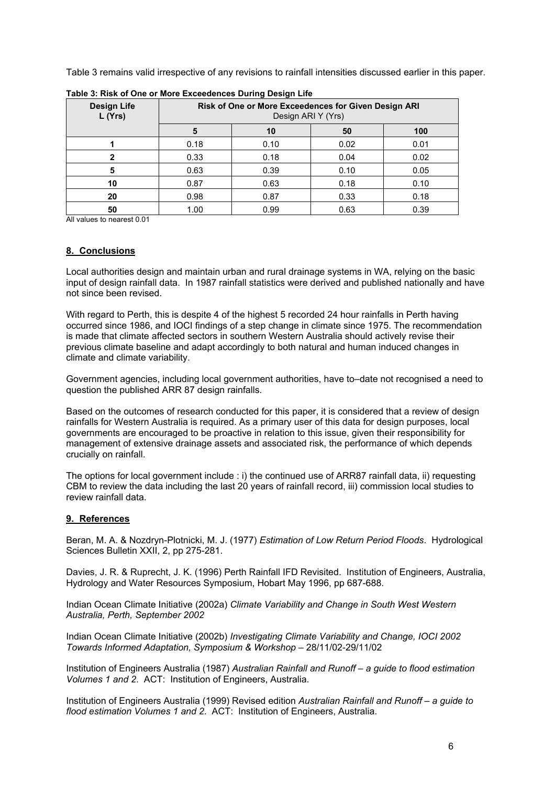Table 3 remains valid irrespective of any revisions to rainfall intensities discussed earlier in this paper.

| <b>Design Life</b><br>L (Yrs) | Risk of One or More Exceedences for Given Design ARI<br>Design ARI Y (Yrs) |      |      |      |  |  |  |
|-------------------------------|----------------------------------------------------------------------------|------|------|------|--|--|--|
|                               | 5                                                                          | 10   | 50   | 100  |  |  |  |
|                               | 0.18                                                                       | 0.10 | 0.02 | 0.01 |  |  |  |
|                               | 0.33                                                                       | 0.18 | 0.04 | 0.02 |  |  |  |
| 5                             | 0.63                                                                       | 0.39 | 0.10 | 0.05 |  |  |  |
| 10                            | 0.87                                                                       | 0.63 | 0.18 | 0.10 |  |  |  |
| 20                            | 0.98                                                                       | 0.87 | 0.33 | 0.18 |  |  |  |
| 50                            | 1.00                                                                       | 0.99 | 0.63 | 0.39 |  |  |  |

**Table 3: Risk of One or More Exceedences During Design Life**

All values to nearest 0.01

#### **8. Conclusions**

Local authorities design and maintain urban and rural drainage systems in WA, relying on the basic input of design rainfall data. In 1987 rainfall statistics were derived and published nationally and have not since been revised.

With regard to Perth, this is despite 4 of the highest 5 recorded 24 hour rainfalls in Perth having occurred since 1986, and IOCI findings of a step change in climate since 1975. The recommendation is made that climate affected sectors in southern Western Australia should actively revise their previous climate baseline and adapt accordingly to both natural and human induced changes in climate and climate variability.

Government agencies, including local government authorities, have to–date not recognised a need to question the published ARR 87 design rainfalls.

Based on the outcomes of research conducted for this paper, it is considered that a review of design rainfalls for Western Australia is required. As a primary user of this data for design purposes, local governments are encouraged to be proactive in relation to this issue, given their responsibility for management of extensive drainage assets and associated risk, the performance of which depends crucially on rainfall.

The options for local government include : i) the continued use of ARR87 rainfall data, ii) requesting CBM to review the data including the last 20 years of rainfall record, iii) commission local studies to review rainfall data.

## **9. References**

Beran, M. A. & Nozdryn-Plotnicki, M. J. (1977) *Estimation of Low Return Period Floods*. Hydrological Sciences Bulletin XXII, 2, pp 275-281.

Davies, J. R. & Ruprecht, J. K. (1996) Perth Rainfall IFD Revisited. Institution of Engineers, Australia, Hydrology and Water Resources Symposium, Hobart May 1996, pp 687-688.

Indian Ocean Climate Initiative (2002a) *Climate Variability and Change in South West Western Australia, Perth, September 2002*

Indian Ocean Climate Initiative (2002b) *Investigating Climate Variability and Change, IOCI 2002 Towards Informed Adaptation, Symposium & Workshop* – 28/11/02-29/11/02

Institution of Engineers Australia (1987) *Australian Rainfall and Runoff* – *a guide to flood estimation Volumes 1 and 2*. ACT: Institution of Engineers, Australia.

Institution of Engineers Australia (1999) Revised edition *Australian Rainfall and Runoff* – *a guide to flood estimation Volumes 1 and 2*. ACT: Institution of Engineers, Australia.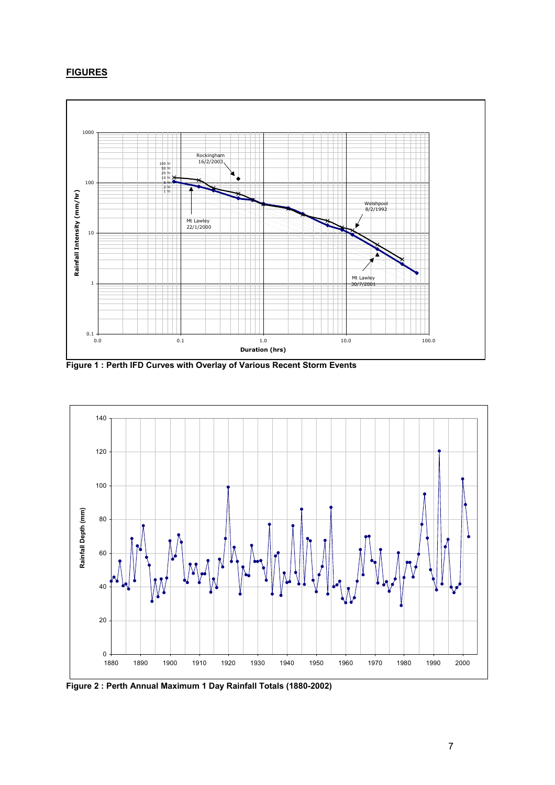# **FIGURES**



**Figure 1 : Perth IFD Curves with Overlay of Various Recent Storm Events**



**Figure 2 : Perth Annual Maximum 1 Day Rainfall Totals (1880-2002)**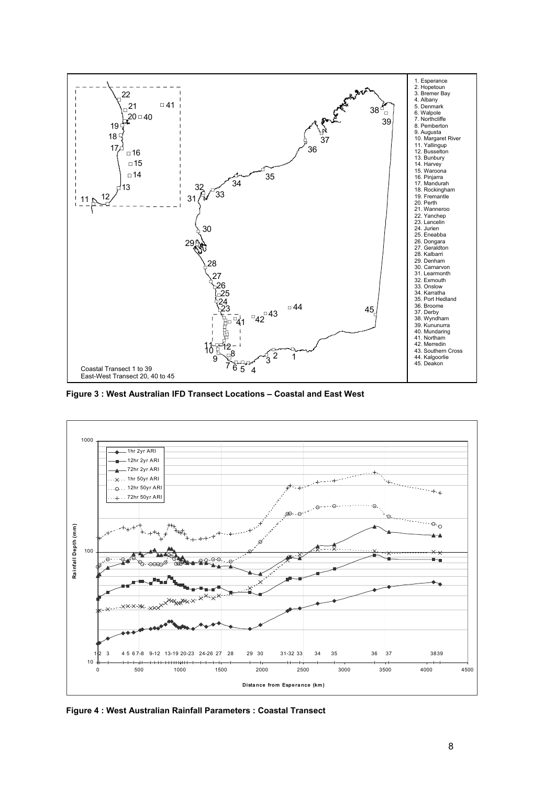

**Figure 3 : West Australian IFD Transect Locations – Coastal and East West**



**Figure 4 : West Australian Rainfall Parameters : Coastal Transect**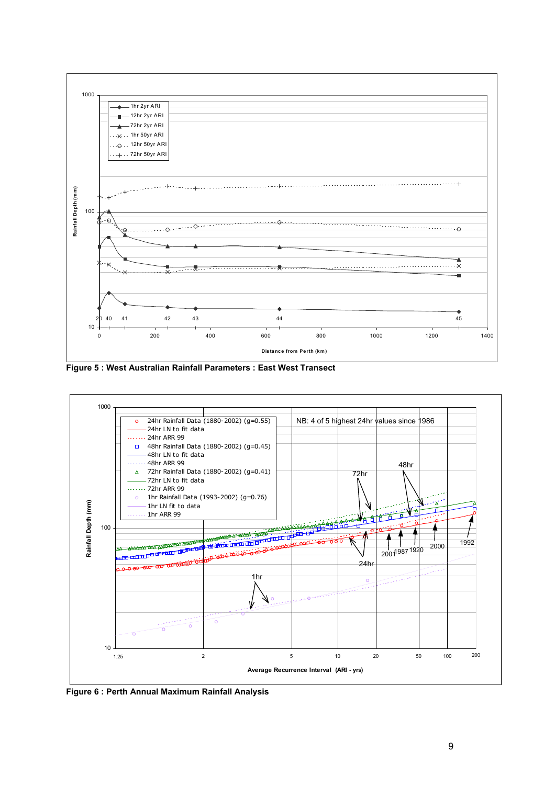

**Figure 5 : West Australian Rainfall Parameters : East West Transect**



**Figure 6 : Perth Annual Maximum Rainfall Analysis**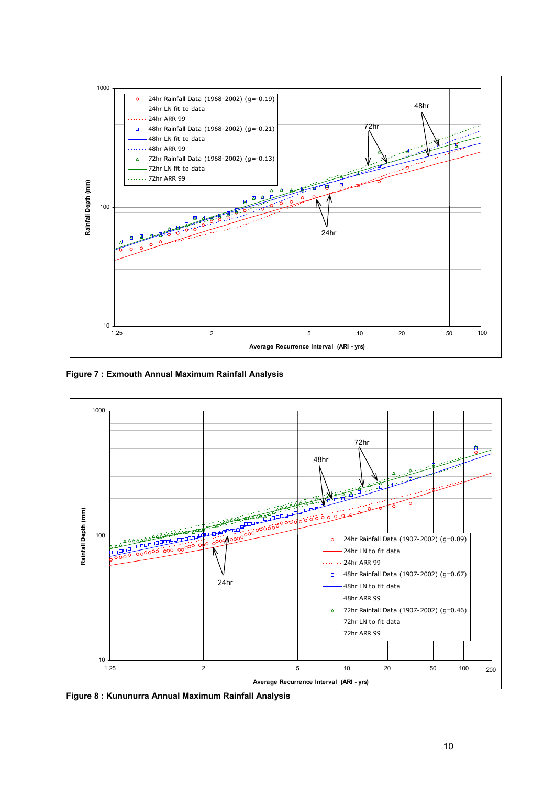

**Figure 7 : Exmouth Annual Maximum Rainfall Analysis**



**Figure 8 : Kununurra Annual Maximum Rainfall Analysis**